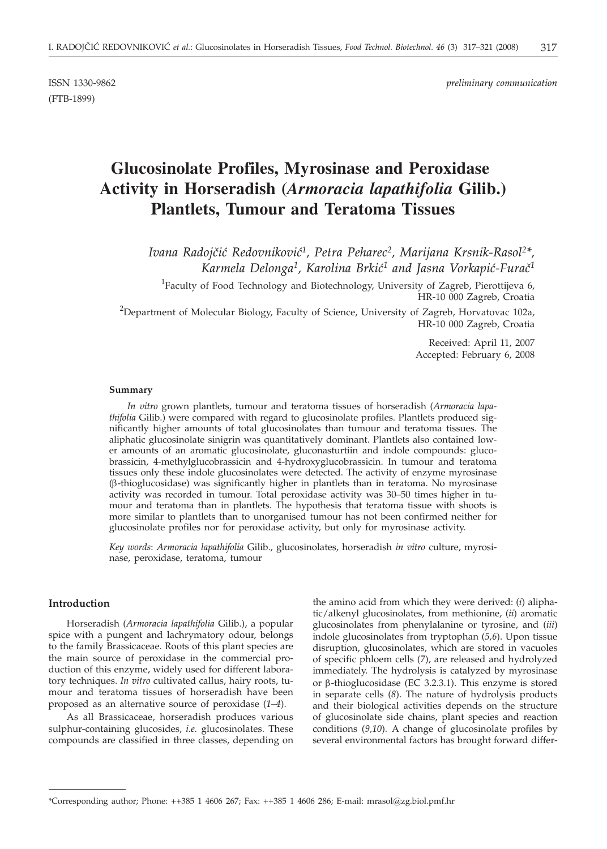(FTB-1899)

ISSN 1330-9862 *preliminary communication*

# **Glucosinolate Profiles, Myrosinase and Peroxidase Activity in Horseradish (***Armoracia lapathifolia* **Gilib.) Plantlets, Tumour and Teratoma Tissues**

Ivana Radojčić Redovniković<sup>1</sup>, Petra Peharec<sup>2</sup>, Marijana Krsnik-Rasol<sup>2\*</sup>, Karmela Delonga<sup>1</sup>, Karolina Brkić<sup>1</sup> and Jasna Vorkapić-Furač<sup>1</sup>

<sup>1</sup>Faculty of Food Technology and Biotechnology, University of Zagreb, Pierottijeva 6, HR-10 000 Zagreb, Croatia

 $^{2}$ Department of Molecular Biology, Faculty of Science, University of Zagreb, Horvatovac 102a, HR-10 000 Zagreb, Croatia

> Received: April 11, 2007 Accepted: February 6, 2008

#### **Summary**

*In vitro* grown plantlets, tumour and teratoma tissues of horseradish (*Armoracia lapathifolia* Gilib.) were compared with regard to glucosinolate profiles. Plantlets produced significantly higher amounts of total glucosinolates than tumour and teratoma tissues. The aliphatic glucosinolate sinigrin was quantitatively dominant. Plantlets also contained lower amounts of an aromatic glucosinolate, gluconasturtiin and indole compounds: glucobrassicin, 4-methylglucobrassicin and 4-hydroxyglucobrassicin. In tumour and teratoma tissues only these indole glucosinolates were detected. The activity of enzyme myrosinase (b-thioglucosidase) was significantly higher in plantlets than in teratoma. No myrosinase activity was recorded in tumour. Total peroxidase activity was 30–50 times higher in tumour and teratoma than in plantlets. The hypothesis that teratoma tissue with shoots is more similar to plantlets than to unorganised tumour has not been confirmed neither for glucosinolate profiles nor for peroxidase activity, but only for myrosinase activity.

*Key words*: *Armoracia lapathifolia* Gilib., glucosinolates, horseradish *in vitro* culture, myrosinase, peroxidase, teratoma, tumour

#### **Introduction**

Horseradish (*Armoracia lapathifolia* Gilib.), a popular spice with a pungent and lachrymatory odour, belongs to the family Brassicaceae. Roots of this plant species are the main source of peroxidase in the commercial production of this enzyme, widely used for different laboratory techniques. *In vitro* cultivated callus, hairy roots, tumour and teratoma tissues of horseradish have been proposed as an alternative source of peroxidase (*1–4*).

As all Brassicaceae, horseradish produces various sulphur-containing glucosides, *i.e.* glucosinolates. These compounds are classified in three classes, depending on

the amino acid from which they were derived: (*i*) aliphatic/alkenyl glucosinolates, from methionine, (*ii*) aromatic glucosinolates from phenylalanine or tyrosine, and (*iii*) indole glucosinolates from tryptophan (*5,6*). Upon tissue disruption, glucosinolates, which are stored in vacuoles of specific phloem cells (*7*), are released and hydrolyzed immediately. The hydrolysis is catalyzed by myrosinase or  $\beta$ -thioglucosidase (EC 3.2.3.1). This enzyme is stored in separate cells (*8*). The nature of hydrolysis products and their biological activities depends on the structure of glucosinolate side chains, plant species and reaction conditions (*9,10*). A change of glucosinolate profiles by several environmental factors has brought forward differ-

<sup>\*</sup>Corresponding author; Phone: ++385 1 4606 267; Fax: ++385 1 4606 286; E-mail: mrasol@zg.biol.pmf.hr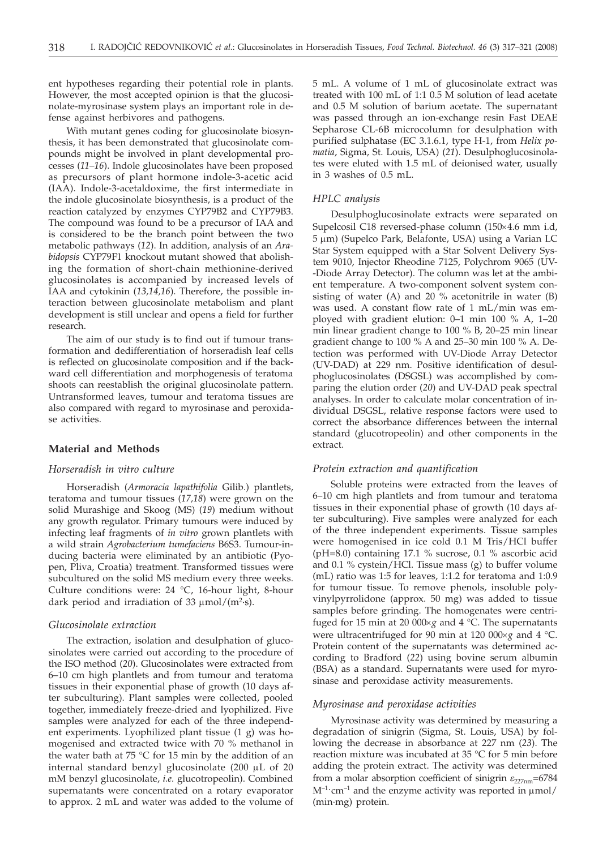ent hypotheses regarding their potential role in plants. However, the most accepted opinion is that the glucosinolate-myrosinase system plays an important role in defense against herbivores and pathogens.

With mutant genes coding for glucosinolate biosynthesis, it has been demonstrated that glucosinolate compounds might be involved in plant developmental processes (*11–16*). Indole glucosinolates have been proposed as precursors of plant hormone indole-3-acetic acid (IAA). Indole-3-acetaldoxime, the first intermediate in the indole glucosinolate biosynthesis, is a product of the reaction catalyzed by enzymes CYP79B2 and CYP79B3. The compound was found to be a precursor of IAA and is considered to be the branch point between the two metabolic pathways (*12*). In addition, analysis of an *Arabidopsis* CYP79F1 knockout mutant showed that abolishing the formation of short-chain methionine-derived glucosinolates is accompanied by increased levels of IAA and cytokinin (*13,14,16*). Therefore, the possible interaction between glucosinolate metabolism and plant development is still unclear and opens a field for further research.

The aim of our study is to find out if tumour transformation and dedifferentiation of horseradish leaf cells is reflected on glucosinolate composition and if the backward cell differentiation and morphogenesis of teratoma shoots can reestablish the original glucosinolate pattern. Untransformed leaves, tumour and teratoma tissues are also compared with regard to myrosinase and peroxidase activities.

#### **Material and Methods**

# *Horseradish in vitro culture*

Horseradish (*Armoracia lapathifolia* Gilib.) plantlets, teratoma and tumour tissues (*17,18*) were grown on the solid Murashige and Skoog (MS) (*19*) medium without any growth regulator. Primary tumours were induced by infecting leaf fragments of *in vitro* grown plantlets with a wild strain *Agrobacterium tumefaciens* B6S3. Tumour-inducing bacteria were eliminated by an antibiotic (Pyopen, Pliva, Croatia) treatment. Transformed tissues were subcultured on the solid MS medium every three weeks. Culture conditions were: 24 °C, 16-hour light, 8-hour dark period and irradiation of 33  $\mu$ mol/(m<sup>2</sup>·s).

# *Glucosinolate extraction*

The extraction, isolation and desulphation of glucosinolates were carried out according to the procedure of the ISO method (*20*). Glucosinolates were extracted from 6–10 cm high plantlets and from tumour and teratoma tissues in their exponential phase of growth (10 days after subculturing). Plant samples were collected, pooled together, immediately freeze-dried and lyophilized. Five samples were analyzed for each of the three independent experiments. Lyophilized plant tissue (1 g) was homogenised and extracted twice with 70 % methanol in the water bath at 75  $\degree$ C for 15 min by the addition of an internal standard benzyl glucosinolate (200 mL of 20 mM benzyl glucosinolate, *i.e.* glucotropeolin). Combined supernatants were concentrated on a rotary evaporator to approx. 2 mL and water was added to the volume of 5 mL. A volume of 1 mL of glucosinolate extract was treated with 100 mL of 1:1 0.5 M solution of lead acetate and 0.5 M solution of barium acetate. The supernatant was passed through an ion-exchange resin Fast DEAE Sepharose CL-6B microcolumn for desulphation with purified sulphatase (EC 3.1.6.1, type H-1, from *Helix pomatia*, Sigma, St. Louis, USA) (*21*). Desulphoglucosinolates were eluted with 1.5 mL of deionised water, usually in 3 washes of 0.5 mL.

# *HPLC analysis*

Desulphoglucosinolate extracts were separated on Supelcosil C18 reversed-phase column (150×4.6 mm i.d,  $5 \mu m$ ) (Supelco Park, Belafonte, USA) using a Varian LC Star System equipped with a Star Solvent Delivery System 9010, Injector Rheodine 7125, Polychrom 9065 (UV- -Diode Array Detector). The column was let at the ambient temperature. A two-component solvent system consisting of water (A) and 20 % acetonitrile in water (B) was used. A constant flow rate of 1 mL/min was employed with gradient elution: 0–1 min 100 % A, 1–20 min linear gradient change to 100 % B, 20–25 min linear gradient change to 100 % A and 25–30 min 100 % A. Detection was performed with UV-Diode Array Detector (UV-DAD) at 229 nm. Positive identification of desulphoglucosinolates (DSGSL) was accomplished by comparing the elution order (*20*) and UV-DAD peak spectral analyses. In order to calculate molar concentration of individual DSGSL, relative response factors were used to correct the absorbance differences between the internal standard (glucotropeolin) and other components in the extract.

#### *Protein extraction and quantification*

Soluble proteins were extracted from the leaves of 6–10 cm high plantlets and from tumour and teratoma tissues in their exponential phase of growth (10 days after subculturing). Five samples were analyzed for each of the three independent experiments. Tissue samples were homogenised in ice cold 0.1 M Tris/HCl buffer (pH=8.0) containing 17.1 % sucrose, 0.1 % ascorbic acid and 0.1 % cystein/HCl. Tissue mass (g) to buffer volume (mL) ratio was 1:5 for leaves, 1:1.2 for teratoma and 1:0.9 for tumour tissue. To remove phenols, insoluble polyvinylpyrrolidone (approx. 50 mg) was added to tissue samples before grinding. The homogenates were centrifuged for 15 min at 20 000×g and 4 °C. The supernatants were ultracentrifuged for 90 min at 120 000×g and 4 °C. Protein content of the supernatants was determined according to Bradford (*22*) using bovine serum albumin (BSA) as a standard. Supernatants were used for myrosinase and peroxidase activity measurements.

#### *Myrosinase and peroxidase activities*

Myrosinase activity was determined by measuring a degradation of sinigrin (Sigma, St. Louis, USA) by following the decrease in absorbance at 227 nm (*23*). The reaction mixture was incubated at 35 °C for 5 min before adding the protein extract. The activity was determined from a molar absorption coefficient of sinigrin  $\varepsilon_{227nm}$ =6784  $M^{-1}$ ·cm<sup>-1</sup> and the enzyme activity was reported in  $\mu$ mol/ (min·mg) protein.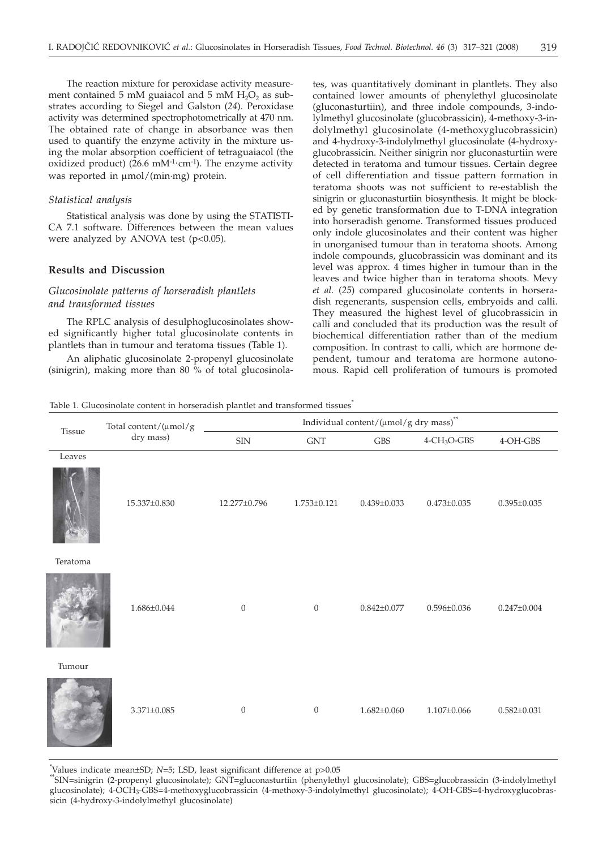The reaction mixture for peroxidase activity measurement contained 5 mM guaiacol and 5 mM  $H_2O_2$  as substrates according to Siegel and Galston (*24*). Peroxidase activity was determined spectrophotometrically at 470 nm. The obtained rate of change in absorbance was then used to quantify the enzyme activity in the mixture using the molar absorption coefficient of tetraguaiacol (the oxidized product) ( $26.6$  mM<sup>-1.</sup>cm<sup>-1</sup>). The enzyme activity was reported in  $\mu$ mol/(min·mg) protein.

#### *Statistical analysis*

Statistical analysis was done by using the STATISTI-CA 7.1 software. Differences between the mean values were analyzed by ANOVA test (p<0.05).

### **Results and Discussion**

# *Glucosinolate patterns of horseradish plantlets and transformed tissues*

The RPLC analysis of desulphoglucosinolates showed significantly higher total glucosinolate contents in plantlets than in tumour and teratoma tissues (Table 1).

An aliphatic glucosinolate 2-propenyl glucosinolate (sinigrin), making more than 80 % of total glucosinola-

tes, was quantitatively dominant in plantlets. They also contained lower amounts of phenylethyl glucosinolate (gluconasturtiin), and three indole compounds, 3-indolylmethyl glucosinolate (glucobrassicin), 4-methoxy-3-indolylmethyl glucosinolate (4-methoxyglucobrassicin) and 4-hydroxy-3-indolylmethyl glucosinolate (4-hydroxyglucobrassicin. Neither sinigrin nor gluconasturtiin were detected in teratoma and tumour tissues. Certain degree of cell differentiation and tissue pattern formation in teratoma shoots was not sufficient to re-establish the sinigrin or gluconasturtiin biosynthesis. It might be blocked by genetic transformation due to T-DNA integration into horseradish genome. Transformed tissues produced only indole glucosinolates and their content was higher in unorganised tumour than in teratoma shoots. Among indole compounds, glucobrassicin was dominant and its level was approx. 4 times higher in tumour than in the leaves and twice higher than in teratoma shoots. Mevy *et al.* (*25*) compared glucosinolate contents in horseradish regenerants, suspension cells, embryoids and calli. They measured the highest level of glucobrassicin in calli and concluded that its production was the result of biochemical differentiation rather than of the medium composition. In contrast to calli, which are hormone dependent, tumour and teratoma are hormone autonomous. Rapid cell proliferation of tumours is promoted

Table 1. Glucosinolate content in horseradish plantlet and transformed tissues<sup>\*</sup>

| Tissue   | Total content/(µmol/g<br>dry mass) | Individual content/( $\upmu \mathrm{mol/g}$ dry $\mathrm{mass})^{**}$ |                             |                      |                            |                   |  |
|----------|------------------------------------|-----------------------------------------------------------------------|-----------------------------|----------------------|----------------------------|-------------------|--|
|          |                                    | <b>SIN</b>                                                            | $\ensuremath{\mathrm{GNT}}$ | $\operatorname{GBS}$ | $4$ -CH <sub>3</sub> O-GBS | 4-OH-GBS          |  |
| Leaves   |                                    |                                                                       |                             |                      |                            |                   |  |
|          | 15.337±0.830                       | 12.277±0.796                                                          | $1.753 \pm 0.121$           | $0.439 \pm 0.033$    | $0.473 \pm 0.035$          | $0.395 \pm 0.035$ |  |
| Teratoma |                                    |                                                                       |                             |                      |                            |                   |  |
|          | $1.686 \pm 0.044$                  | $\overline{0}$                                                        | $\mathbf{0}$                | $0.842 \pm 0.077$    | $0.596 \pm 0.036$          | $0.247 \pm 0.004$ |  |
| Tumour   |                                    |                                                                       |                             |                      |                            |                   |  |
|          | $3.371 \pm 0.085$                  | $\overline{0}$                                                        | $\mathbf{0}$                | $1.682 \pm 0.060$    | $1.107 \pm 0.066$          | $0.582 \pm 0.031$ |  |

Values indicate mean±SD; N=5; LSD, least significant difference at p>0.05

<sup>\*\*</sup>SIN=sinigrin (2-propenyl glucosinolate); GNT=gluconasturtiin (phenylethyl glucosinolate); GBS=glucobrassicin (3-indolylmethyl glucosinolate); 4-OCH3-GBS=4-methoxyglucobrassicin (4-methoxy-3-indolylmethyl glucosinolate); 4-OH-GBS=4-hydroxyglucobrassicin (4-hydroxy-3-indolylmethyl glucosinolate)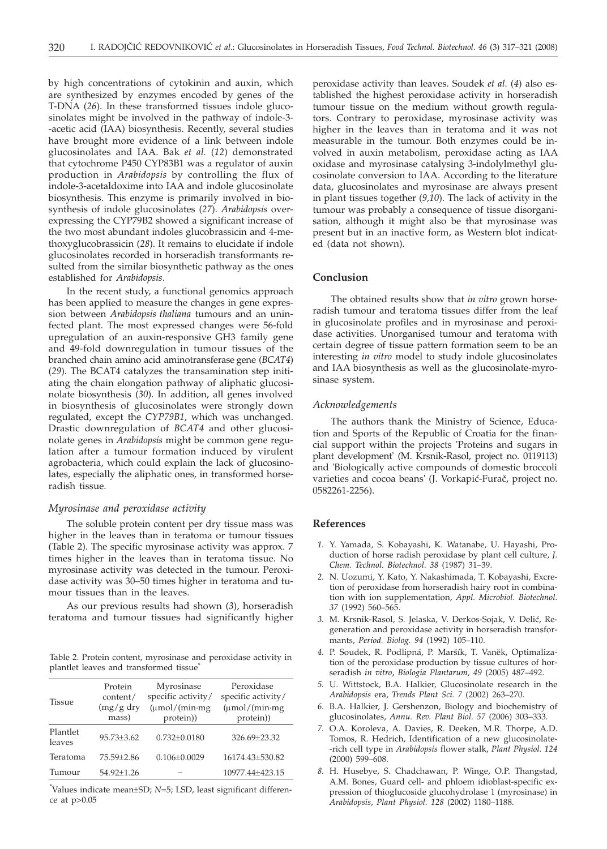by high concentrations of cytokinin and auxin, which are synthesized by enzymes encoded by genes of the T-DNA (*26*). In these transformed tissues indole glucosinolates might be involved in the pathway of indole-3- -acetic acid (IAA) biosynthesis. Recently, several studies have brought more evidence of a link between indole glucosinolates and IAA. Bak *et al.* (*12*) demonstrated that cytochrome P450 CYP83B1 was a regulator of auxin production in *Arabidopsis* by controlling the flux of indole-3-acetaldoxime into IAA and indole glucosinolate biosynthesis. This enzyme is primarily involved in biosynthesis of indole glucosinolates (*27*). *Arabidopsis* overexpressing the CYP79B2 showed a significant increase of the two most abundant indoles glucobrassicin and 4-methoxyglucobrassicin (*28*). It remains to elucidate if indole glucosinolates recorded in horseradish transformants resulted from the similar biosynthetic pathway as the ones established for *Arabidopsis*.

In the recent study, a functional genomics approach has been applied to measure the changes in gene expression between *Arabidopsis thaliana* tumours and an uninfected plant. The most expressed changes were 56-fold upregulation of an auxin-responsive GH3 family gene and 49-fold downregulation in tumour tissues of the branched chain amino acid aminotransferase gene (*BCAT4*) (*29*). The BCAT4 catalyzes the transamination step initiating the chain elongation pathway of aliphatic glucosinolate biosynthesis (*30*). In addition, all genes involved in biosynthesis of glucosinolates were strongly down regulated, except the *CYP79B1*, which was unchanged. Drastic downregulation of *BCAT4* and other glucosinolate genes in *Arabidopsis* might be common gene regulation after a tumour formation induced by virulent agrobacteria, which could explain the lack of glucosinolates, especially the aliphatic ones, in transformed horseradish tissue.

#### *Myrosinase and peroxidase activity*

The soluble protein content per dry tissue mass was higher in the leaves than in teratoma or tumour tissues (Table 2). The specific myrosinase activity was approx. 7 times higher in the leaves than in teratoma tissue. No myrosinase activity was detected in the tumour. Peroxidase activity was 30–50 times higher in teratoma and tumour tissues than in the leaves.

As our previous results had shown (*3*), horseradish teratoma and tumour tissues had significantly higher

Table 2. Protein content, myrosinase and peroxidase activity in plantlet leaves and transformed tissue\*

| <b>Tissue</b>      | Protein<br>content/<br>$(mg/g)$ dry<br>mass) | Myrosinase<br>specific activity/<br>$(\mu \text{mol}/(\text{min}\cdot\text{mg})$<br>protein)) | Peroxidase<br>specific activity/<br>$(\mu \text{mol}/(\text{min}\cdot\text{mg})$<br>protein)) |
|--------------------|----------------------------------------------|-----------------------------------------------------------------------------------------------|-----------------------------------------------------------------------------------------------|
| Plantlet<br>leaves | $95.73 + 3.62$                               | $0.732 \pm 0.0180$                                                                            | 326.69±23.32                                                                                  |
| Teratoma           | 75.59±2.86                                   | $0.106 \pm 0.0029$                                                                            | 16174.43±530.82                                                                               |
| Tumour             | 54.92±1.26                                   |                                                                                               | 10977.44±423.15                                                                               |

\* Values indicate mean±SD; *N*=5; LSD, least significant difference at p>0.05

peroxidase activity than leaves. Soudek *et al.* (*4*) also established the highest peroxidase activity in horseradish tumour tissue on the medium without growth regulators. Contrary to peroxidase, myrosinase activity was higher in the leaves than in teratoma and it was not measurable in the tumour. Both enzymes could be involved in auxin metabolism, peroxidase acting as IAA oxidase and myrosinase catalysing 3-indolylmethyl glucosinolate conversion to IAA. According to the literature data, glucosinolates and myrosinase are always present in plant tissues together (*9,10*). The lack of activity in the tumour was probably a consequence of tissue disorganisation, although it might also be that myrosinase was present but in an inactive form, as Western blot indicated (data not shown).

# **Conclusion**

The obtained results show that *in vitro* grown horseradish tumour and teratoma tissues differ from the leaf in glucosinolate profiles and in myrosinase and peroxidase activities. Unorganised tumour and teratoma with certain degree of tissue pattern formation seem to be an interesting *in vitro* model to study indole glucosinolates and IAA biosynthesis as well as the glucosinolate-myrosinase system.

#### *Acknowledgements*

The authors thank the Ministry of Science, Education and Sports of the Republic of Croatia for the financial support within the projects 'Proteins and sugars in plant development' (M. Krsnik-Rasol, project no. 0119113) and 'Biologically active compounds of domestic broccoli varieties and cocoa beans' (J. Vorkapić-Furač, project no. 0582261-2256).

# **References**

- *1.* Y. Yamada, S. Kobayashi, K. Watanabe, U. Hayashi, Production of horse radish peroxidase by plant cell culture, *J. Chem. Technol. Biotechnol. 38* (1987) 31–39.
- *2.* N. Uozumi, Y. Kato, Y. Nakashimada, T. Kobayashi, Excretion of peroxidase from horseradish hairy root in combination with ion supplementation, *Appl. Microbiol. Biotechnol. 37* (1992) 560–565.
- 3. M. Krsnik-Rasol, S. Jelaska, V. Derkos-Sojak, V. Delić, Regeneration and peroxidase activity in horseradish transformants, *Period. Biolog. 94* (1992) 105–110.
- 4. P. Soudek, R. Podlipná, P. Maršík, T. Vaněk, Optimalization of the peroxidase production by tissue cultures of horseradish *in vitro*, *Biologia Plantarum, 49* (2005) 487–492.
- *5.* U. Wittstock, B.A. Halkier, Glucosinolate research in the *Arabidopsis* era, *Trends Plant Sci. 7* (2002) 263–270.
- *6.* B.A. Halkier, J. Gershenzon, Biology and biochemistry of glucosinolates, *Annu. Rev. Plant Biol. 57* (2006) 303–333.
- *7.* O.A. Koroleva, A. Davies, R. Deeken, M.R. Thorpe, A.D. Tomos, R. Hedrich, Identification of a new glucosinolate- -rich cell type in *Arabidopsis* flower stalk, *Plant Physiol. 124* (2000) 599–608.
- *8.* H. Husebye, S. Chadchawan, P. Winge, O.P. Thangstad, A.M. Bones, Guard cell- and phloem idioblast-specific expression of thioglucoside glucohydrolase 1 (myrosinase) in *Arabidopsis*, *Plant Physiol. 128* (2002) 1180–1188.